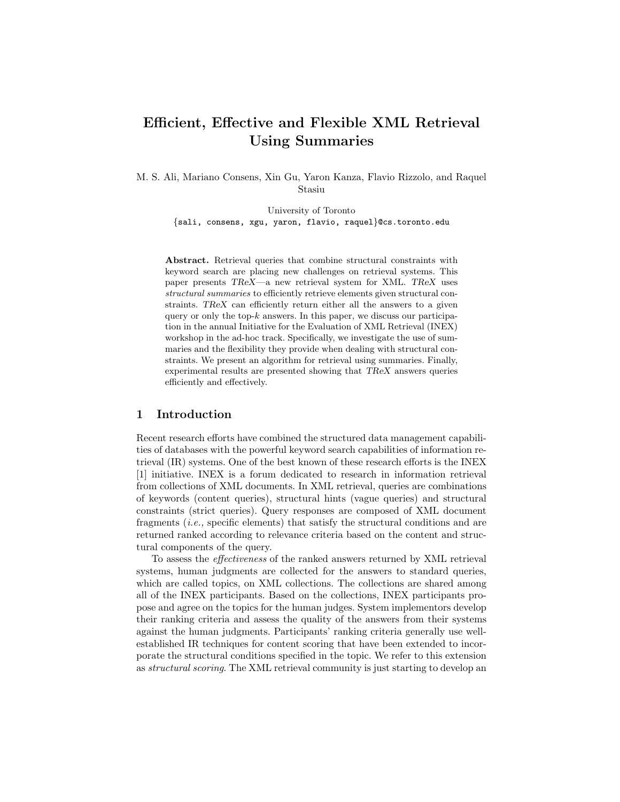# Efficient, Effective and Flexible XML Retrieval Using Summaries

M. S. Ali, Mariano Consens, Xin Gu, Yaron Kanza, Flavio Rizzolo, and Raquel Stasiu

> University of Toronto {sali, consens, xgu, yaron, flavio, raquel}@cs.toronto.edu

Abstract. Retrieval queries that combine structural constraints with keyword search are placing new challenges on retrieval systems. This paper presents TReX—a new retrieval system for XML. TReX uses structural summaries to efficiently retrieve elements given structural constraints. TReX can efficiently return either all the answers to a given query or only the top- $k$  answers. In this paper, we discuss our participation in the annual Initiative for the Evaluation of XML Retrieval (INEX) workshop in the ad-hoc track. Specifically, we investigate the use of summaries and the flexibility they provide when dealing with structural constraints. We present an algorithm for retrieval using summaries. Finally, experimental results are presented showing that TReX answers queries efficiently and effectively.

## 1 Introduction

Recent research efforts have combined the structured data management capabilities of databases with the powerful keyword search capabilities of information retrieval (IR) systems. One of the best known of these research efforts is the INEX [1] initiative. INEX is a forum dedicated to research in information retrieval from collections of XML documents. In XML retrieval, queries are combinations of keywords (content queries), structural hints (vague queries) and structural constraints (strict queries). Query responses are composed of XML document fragments (i.e., specific elements) that satisfy the structural conditions and are returned ranked according to relevance criteria based on the content and structural components of the query.

To assess the effectiveness of the ranked answers returned by XML retrieval systems, human judgments are collected for the answers to standard queries, which are called topics, on XML collections. The collections are shared among all of the INEX participants. Based on the collections, INEX participants propose and agree on the topics for the human judges. System implementors develop their ranking criteria and assess the quality of the answers from their systems against the human judgments. Participants' ranking criteria generally use wellestablished IR techniques for content scoring that have been extended to incorporate the structural conditions specified in the topic. We refer to this extension as structural scoring. The XML retrieval community is just starting to develop an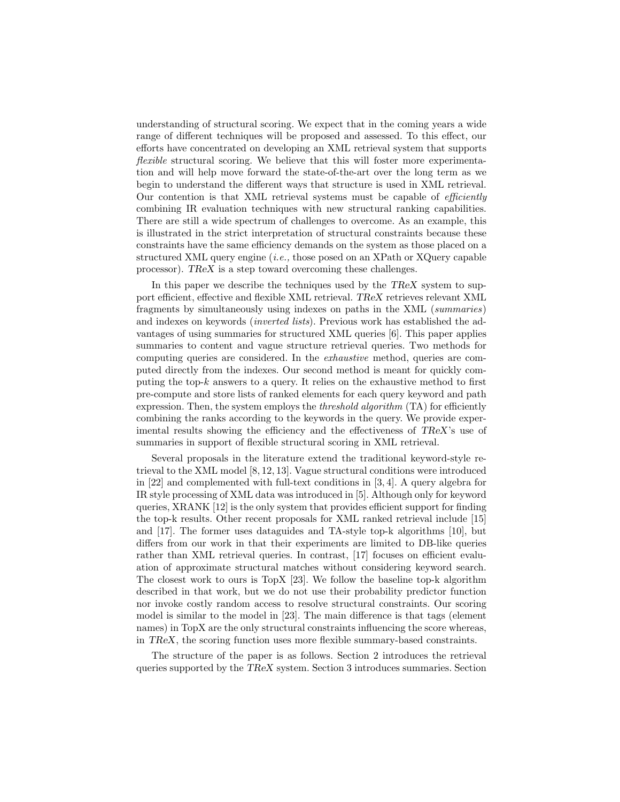understanding of structural scoring. We expect that in the coming years a wide range of different techniques will be proposed and assessed. To this effect, our efforts have concentrated on developing an XML retrieval system that supports flexible structural scoring. We believe that this will foster more experimentation and will help move forward the state-of-the-art over the long term as we begin to understand the different ways that structure is used in XML retrieval. Our contention is that XML retrieval systems must be capable of efficiently combining IR evaluation techniques with new structural ranking capabilities. There are still a wide spectrum of challenges to overcome. As an example, this is illustrated in the strict interpretation of structural constraints because these constraints have the same efficiency demands on the system as those placed on a structured XML query engine  $(i.e., those posed on an XPath or XQuery capable$ processor). TReX is a step toward overcoming these challenges.

In this paper we describe the techniques used by the TReX system to support efficient, effective and flexible XML retrieval. TReX retrieves relevant XML fragments by simultaneously using indexes on paths in the XML (summaries) and indexes on keywords (inverted lists). Previous work has established the advantages of using summaries for structured XML queries [6]. This paper applies summaries to content and vague structure retrieval queries. Two methods for computing queries are considered. In the exhaustive method, queries are computed directly from the indexes. Our second method is meant for quickly computing the top-k answers to a query. It relies on the exhaustive method to first pre-compute and store lists of ranked elements for each query keyword and path expression. Then, the system employs the *threshold algorithm*  $(TA)$  for efficiently combining the ranks according to the keywords in the query. We provide experimental results showing the efficiency and the effectiveness of TReX's use of summaries in support of flexible structural scoring in XML retrieval.

Several proposals in the literature extend the traditional keyword-style retrieval to the XML model [8, 12, 13]. Vague structural conditions were introduced in [22] and complemented with full-text conditions in [3, 4]. A query algebra for IR style processing of XML data was introduced in [5]. Although only for keyword queries, XRANK [12] is the only system that provides efficient support for finding the top-k results. Other recent proposals for XML ranked retrieval include [15] and [17]. The former uses dataguides and TA-style top-k algorithms [10], but differs from our work in that their experiments are limited to DB-like queries rather than XML retrieval queries. In contrast, [17] focuses on efficient evaluation of approximate structural matches without considering keyword search. The closest work to ours is TopX [23]. We follow the baseline top-k algorithm described in that work, but we do not use their probability predictor function nor invoke costly random access to resolve structural constraints. Our scoring model is similar to the model in [23]. The main difference is that tags (element names) in TopX are the only structural constraints influencing the score whereas, in TReX, the scoring function uses more flexible summary-based constraints.

The structure of the paper is as follows. Section 2 introduces the retrieval queries supported by the TReX system. Section 3 introduces summaries. Section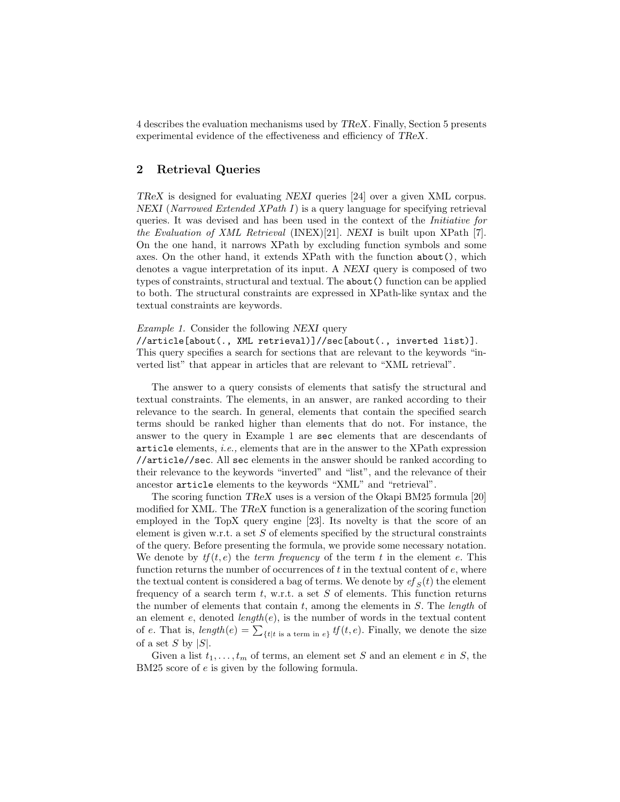4 describes the evaluation mechanisms used by TReX. Finally, Section 5 presents experimental evidence of the effectiveness and efficiency of TReX.

# 2 Retrieval Queries

TReX is designed for evaluating NEXI queries [24] over a given XML corpus. NEXI (Narrowed Extended XPath I) is a query language for specifying retrieval queries. It was devised and has been used in the context of the Initiative for the Evaluation of XML Retrieval (INEX)[21]. NEXI is built upon XPath [7]. On the one hand, it narrows XPath by excluding function symbols and some axes. On the other hand, it extends XPath with the function about(), which denotes a vague interpretation of its input. A NEXI query is composed of two types of constraints, structural and textual. The about() function can be applied to both. The structural constraints are expressed in XPath-like syntax and the textual constraints are keywords.

#### Example 1. Consider the following NEXI query

//article[about(., XML retrieval)]//sec[about(., inverted list)]. This query specifies a search for sections that are relevant to the keywords "inverted list" that appear in articles that are relevant to "XML retrieval".

The answer to a query consists of elements that satisfy the structural and textual constraints. The elements, in an answer, are ranked according to their relevance to the search. In general, elements that contain the specified search terms should be ranked higher than elements that do not. For instance, the answer to the query in Example 1 are sec elements that are descendants of article elements, i.e., elements that are in the answer to the XPath expression //article//sec. All sec elements in the answer should be ranked according to their relevance to the keywords "inverted" and "list", and the relevance of their ancestor article elements to the keywords "XML" and "retrieval".

The scoring function TReX uses is a version of the Okapi BM25 formula [20] modified for XML. The TReX function is a generalization of the scoring function employed in the TopX query engine [23]. Its novelty is that the score of an element is given w.r.t. a set  $S$  of elements specified by the structural constraints of the query. Before presenting the formula, we provide some necessary notation. We denote by  $tf(t, e)$  the term frequency of the term t in the element e. This function returns the number of occurrences of  $t$  in the textual content of  $e$ , where the textual content is considered a bag of terms. We denote by  $e f_s(t)$  the element frequency of a search term t, w.r.t. a set  $S$  of elements. This function returns the number of elements that contain  $t$ , among the elements in  $S$ . The *length* of an element  $e$ , denoted  $length(e)$ , is the number of words in the textual content of e. That is,  $length(e) = \sum_{\{t \mid t \text{ is a term in } e\}} tf(t, e)$ . Finally, we denote the size of a set S by  $|S|$ .

Given a list  $t_1, \ldots, t_m$  of terms, an element set S and an element e in S, the BM25 score of e is given by the following formula.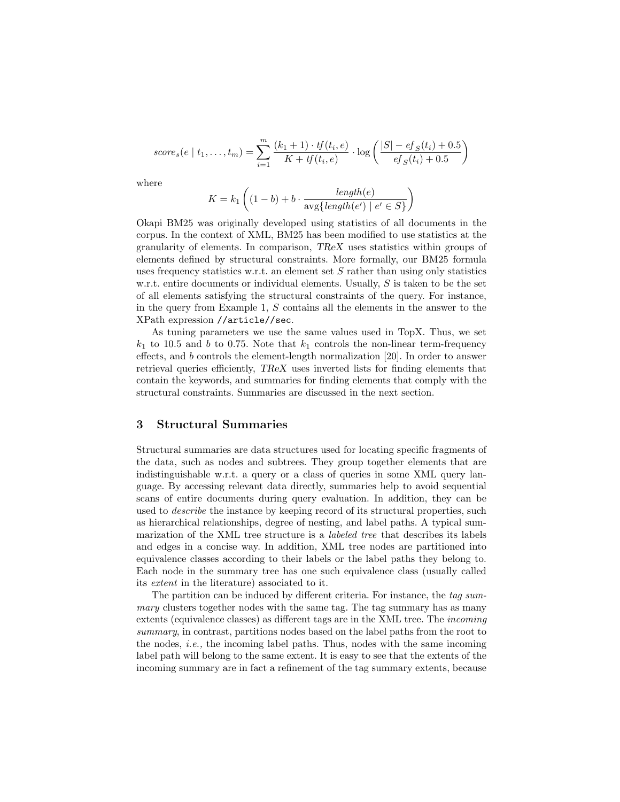$$
score_s(e | t_1, ..., t_m) = \sum_{i=1}^{m} \frac{(k_1 + 1) \cdot tf(t_i, e)}{K + tf(t_i, e)} \cdot \log \left( \frac{|S| - ef_S(t_i) + 0.5}{ef_S(t_i) + 0.5} \right)
$$

where

$$
K = k_1 \left( (1 - b) + b \cdot \frac{length(e)}{\text{avg}\{\text{length}(e') \mid e' \in S\}} \right)
$$

Okapi BM25 was originally developed using statistics of all documents in the corpus. In the context of XML, BM25 has been modified to use statistics at the granularity of elements. In comparison, TReX uses statistics within groups of elements defined by structural constraints. More formally, our BM25 formula uses frequency statistics w.r.t. an element set  $S$  rather than using only statistics w.r.t. entire documents or individual elements. Usually,  $S$  is taken to be the set of all elements satisfying the structural constraints of the query. For instance, in the query from Example 1, S contains all the elements in the answer to the XPath expression //article//sec.

As tuning parameters we use the same values used in TopX. Thus, we set  $k_1$  to 10.5 and b to 0.75. Note that  $k_1$  controls the non-linear term-frequency effects, and b controls the element-length normalization [20]. In order to answer retrieval queries efficiently, TReX uses inverted lists for finding elements that contain the keywords, and summaries for finding elements that comply with the structural constraints. Summaries are discussed in the next section.

## 3 Structural Summaries

Structural summaries are data structures used for locating specific fragments of the data, such as nodes and subtrees. They group together elements that are indistinguishable w.r.t. a query or a class of queries in some XML query language. By accessing relevant data directly, summaries help to avoid sequential scans of entire documents during query evaluation. In addition, they can be used to *describe* the instance by keeping record of its structural properties, such as hierarchical relationships, degree of nesting, and label paths. A typical summarization of the XML tree structure is a labeled tree that describes its labels and edges in a concise way. In addition, XML tree nodes are partitioned into equivalence classes according to their labels or the label paths they belong to. Each node in the summary tree has one such equivalence class (usually called its extent in the literature) associated to it.

The partition can be induced by different criteria. For instance, the tag summary clusters together nodes with the same tag. The tag summary has as many extents (equivalence classes) as different tags are in the XML tree. The incoming summary, in contrast, partitions nodes based on the label paths from the root to the nodes, i.e., the incoming label paths. Thus, nodes with the same incoming label path will belong to the same extent. It is easy to see that the extents of the incoming summary are in fact a refinement of the tag summary extents, because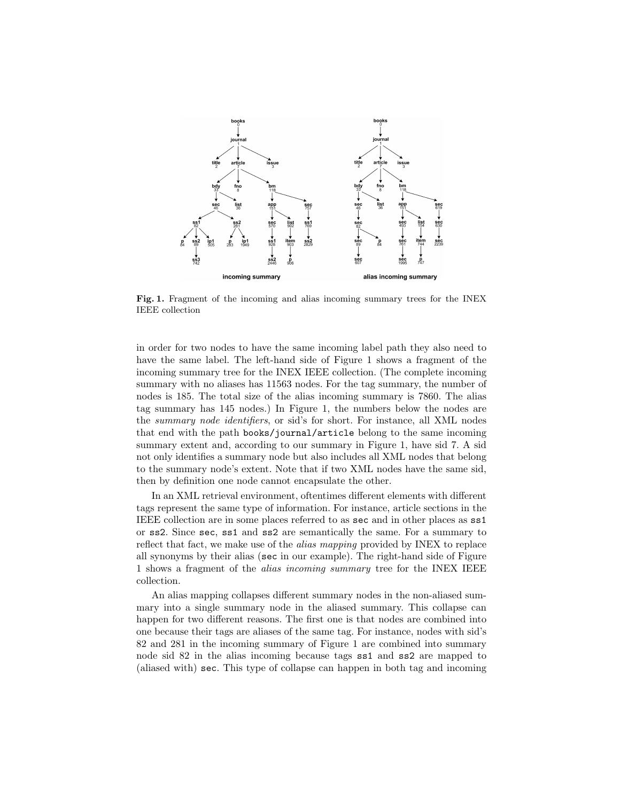

Fig. 1. Fragment of the incoming and alias incoming summary trees for the INEX IEEE collection

in order for two nodes to have the same incoming label path they also need to have the same label. The left-hand side of Figure 1 shows a fragment of the incoming summary tree for the INEX IEEE collection. (The complete incoming summary with no aliases has 11563 nodes. For the tag summary, the number of nodes is 185. The total size of the alias incoming summary is 7860. The alias tag summary has 145 nodes.) In Figure 1, the numbers below the nodes are the summary node identifiers, or sid's for short. For instance, all XML nodes that end with the path books/journal/article belong to the same incoming summary extent and, according to our summary in Figure 1, have sid 7. A sid not only identifies a summary node but also includes all XML nodes that belong to the summary node's extent. Note that if two XML nodes have the same sid, then by definition one node cannot encapsulate the other.

In an XML retrieval environment, oftentimes different elements with different tags represent the same type of information. For instance, article sections in the IEEE collection are in some places referred to as sec and in other places as ss1 or ss2. Since sec, ss1 and ss2 are semantically the same. For a summary to reflect that fact, we make use of the alias mapping provided by INEX to replace all synonyms by their alias (sec in our example). The right-hand side of Figure 1 shows a fragment of the alias incoming summary tree for the INEX IEEE collection.

An alias mapping collapses different summary nodes in the non-aliased summary into a single summary node in the aliased summary. This collapse can happen for two different reasons. The first one is that nodes are combined into one because their tags are aliases of the same tag. For instance, nodes with sid's 82 and 281 in the incoming summary of Figure 1 are combined into summary node sid 82 in the alias incoming because tags ss1 and ss2 are mapped to (aliased with) sec. This type of collapse can happen in both tag and incoming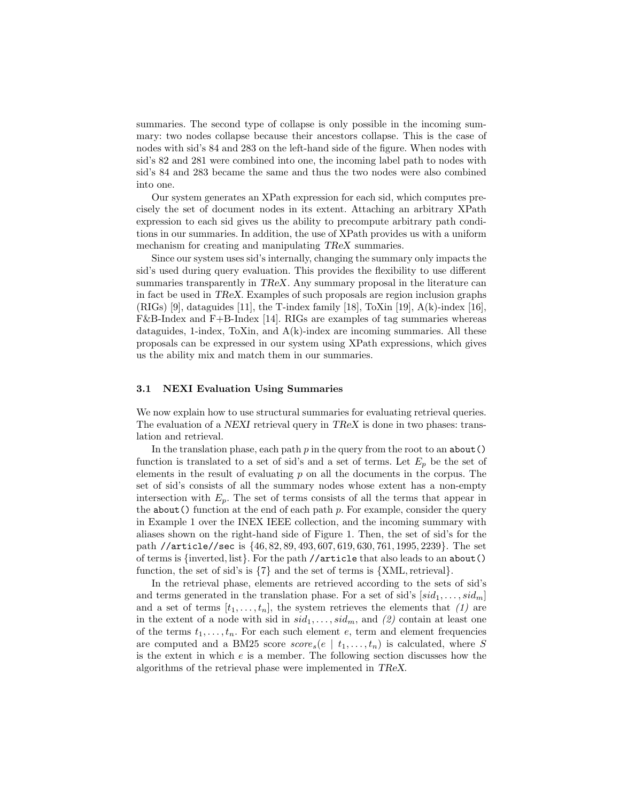summaries. The second type of collapse is only possible in the incoming summary: two nodes collapse because their ancestors collapse. This is the case of nodes with sid's 84 and 283 on the left-hand side of the figure. When nodes with sid's 82 and 281 were combined into one, the incoming label path to nodes with sid's 84 and 283 became the same and thus the two nodes were also combined into one.

Our system generates an XPath expression for each sid, which computes precisely the set of document nodes in its extent. Attaching an arbitrary XPath expression to each sid gives us the ability to precompute arbitrary path conditions in our summaries. In addition, the use of XPath provides us with a uniform mechanism for creating and manipulating TReX summaries.

Since our system uses sid's internally, changing the summary only impacts the sid's used during query evaluation. This provides the flexibility to use different summaries transparently in TReX. Any summary proposal in the literature can in fact be used in TReX. Examples of such proposals are region inclusion graphs  $(RIGs)$  [9], dataguides [11], the T-index family [18], ToXin [19],  $A(k)$ -index [16],  $F\&B$ -Index and  $F+B$ -Index [14]. RIGs are examples of tag summaries whereas dataguides, 1-index, ToXin, and  $A(k)$ -index are incoming summaries. All these proposals can be expressed in our system using XPath expressions, which gives us the ability mix and match them in our summaries.

#### 3.1 NEXI Evaluation Using Summaries

We now explain how to use structural summaries for evaluating retrieval queries. The evaluation of a NEXI retrieval query in TReX is done in two phases: translation and retrieval.

In the translation phase, each path  $p$  in the query from the root to an about () function is translated to a set of sid's and a set of terms. Let  $E_p$  be the set of elements in the result of evaluating  $p$  on all the documents in the corpus. The set of sid's consists of all the summary nodes whose extent has a non-empty intersection with  $E_p$ . The set of terms consists of all the terms that appear in the about () function at the end of each path p. For example, consider the query in Example 1 over the INEX IEEE collection, and the incoming summary with aliases shown on the right-hand side of Figure 1. Then, the set of sid's for the path //article//sec is {46, 82, 89, 493, 607, 619, 630, 761, 1995, 2239}. The set of terms is {inverted, list}. For the path //article that also leads to an about() function, the set of sid's is  $\{7\}$  and the set of terms is  $\{XML, retrieval\}$ .

In the retrieval phase, elements are retrieved according to the sets of sid's and terms generated in the translation phase. For a set of sid's  $[sid_1, \ldots, sid_m]$ and a set of terms  $[t_1, \ldots, t_n]$ , the system retrieves the elements that  $(1)$  are in the extent of a node with sid in  $sid_1, \ldots, sid_m$ , and  $(2)$  contain at least one of the terms  $t_1, \ldots, t_n$ . For each such element e, term and element frequencies are computed and a BM25 score  $score_s(e \mid t_1, \ldots, t_n)$  is calculated, where S is the extent in which  $e$  is a member. The following section discusses how the algorithms of the retrieval phase were implemented in TReX.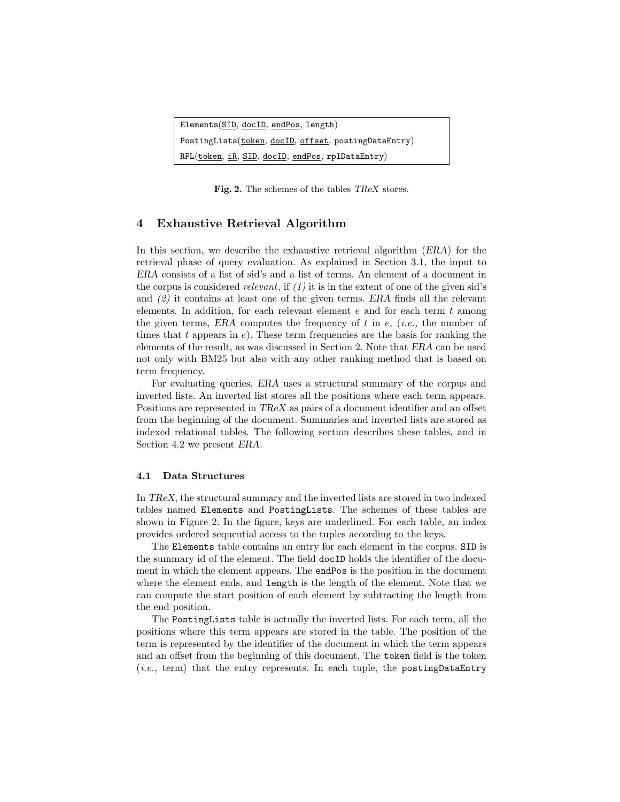| Elements (SID, docID, endPos, length)                |
|------------------------------------------------------|
| PostingLists(token, docID, offset, postingDataEntry) |
| RPL(token, iR, SID, docID, endPos, rplDataEntry)     |

Fig. 2. The schemes of the tables TReX stores.

# 4 Exhaustive Retrieval Algorithm

In this section, we describe the exhaustive retrieval algorithm (ERA) for the retrieval phase of query evaluation. As explained in Section 3.1, the input to ERA consists of a list of sid's and a list of terms. An element of a document in the corpus is considered *relevant*, if  $(1)$  it is in the extent of one of the given sid's and  $(2)$  it contains at least one of the given terms. ERA finds all the relevant elements. In addition, for each relevant element  $e$  and for each term  $t$  among the given terms,  $ERA$  computes the frequency of t in e, (*i.e.*, the number of times that t appears in  $e$ ). These term frequencies are the basis for ranking the elements of the result, as was discussed in Section 2. Note that ERA can be used not only with BM25 but also with any other ranking method that is based on term frequency.

For evaluating queries, ERA uses a structural summary of the corpus and inverted lists. An inverted list stores all the positions where each term appears. Positions are represented in TReX as pairs of a document identifier and an offset from the beginning of the document. Summaries and inverted lists are stored as indexed relational tables. The following section describes these tables, and in Section 4.2 we present ERA.

### 4.1 Data Structures

In TReX, the structural summary and the inverted lists are stored in two indexed tables named Elements and PostingLists. The schemes of these tables are shown in Figure 2. In the figure, keys are underlined. For each table, an index provides ordered sequential access to the tuples according to the keys.

The Elements table contains an entry for each element in the corpus. SID is the summary id of the element. The field docID holds the identifier of the document in which the element appears. The endPos is the position in the document where the element ends, and length is the length of the element. Note that we can compute the start position of each element by subtracting the length from the end position.

The PostingLists table is actually the inverted lists. For each term, all the positions where this term appears are stored in the table. The position of the term is represented by the identifier of the document in which the term appears and an offset from the beginning of this document. The token field is the token  $(i.e., term)$  that the entry represents. In each tuple, the postingDataEntry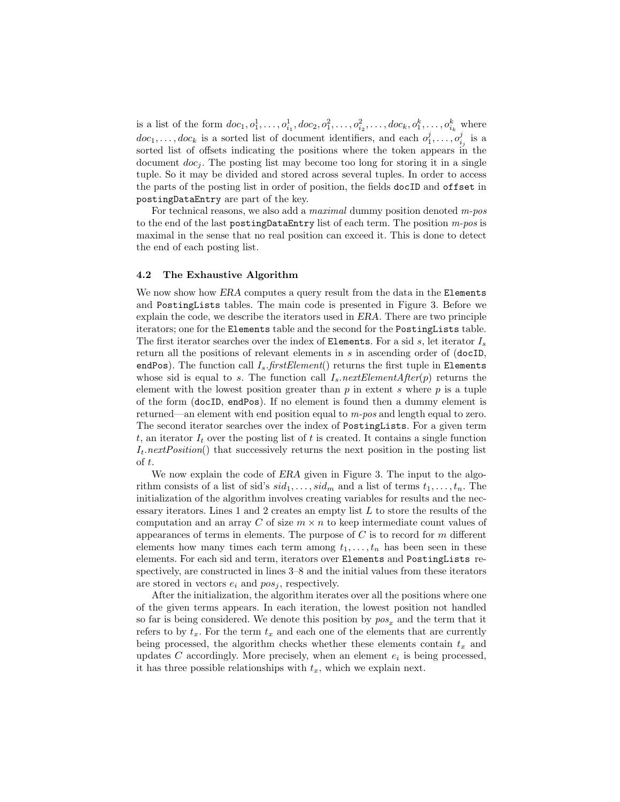is a list of the form  $doc_1, o_1^1, \ldots, o_{i_1}^1, doc_2, o_1^2, \ldots, o_{i_2}^2, \ldots, doc_k, o_1^k, \ldots, o_{i_k}^k$  where  $doc_1, \ldots, doc_k$  is a sorted list of document identifiers, and each  $o_1^j, \ldots, o_{i_j}^j$  is a sorted list of offsets indicating the positions where the token appears in the document  $doc<sub>i</sub>$ . The posting list may become too long for storing it in a single tuple. So it may be divided and stored across several tuples. In order to access the parts of the posting list in order of position, the fields docID and offset in postingDataEntry are part of the key.

For technical reasons, we also add a maximal dummy position denoted m-pos to the end of the last postingDataEntry list of each term. The position m-pos is maximal in the sense that no real position can exceed it. This is done to detect the end of each posting list.

#### 4.2 The Exhaustive Algorithm

We now show how ERA computes a query result from the data in the Elements and PostingLists tables. The main code is presented in Figure 3. Before we explain the code, we describe the iterators used in ERA. There are two principle iterators; one for the Elements table and the second for the PostingLists table. The first iterator searches over the index of Elements. For a sid s, let iterator  $I_s$ return all the positions of relevant elements in s in ascending order of  $(docID)$ , endPos). The function call  $I_s$ .firstElement() returns the first tuple in Elements whose sid is equal to s. The function call  $I_s.nextElementAfter(p)$  returns the element with the lowest position greater than  $p$  in extent s where  $p$  is a tuple of the form (docID, endPos). If no element is found then a dummy element is returned—an element with end position equal to  $m$ -pos and length equal to zero. The second iterator searches over the index of PostingLists. For a given term t, an iterator  $I_t$  over the posting list of t is created. It contains a single function  $I_t.nextPosition()$  that successively returns the next position in the posting list of t.

We now explain the code of ERA given in Figure 3. The input to the algorithm consists of a list of sid's  $sid_1, \ldots, sid_m$  and a list of terms  $t_1, \ldots, t_n$ . The initialization of the algorithm involves creating variables for results and the necessary iterators. Lines 1 and 2 creates an empty list  $L$  to store the results of the computation and an array C of size  $m \times n$  to keep intermediate count values of appearances of terms in elements. The purpose of  $C$  is to record for  $m$  different elements how many times each term among  $t_1, \ldots, t_n$  has been seen in these elements. For each sid and term, iterators over Elements and PostingLists respectively, are constructed in lines 3–8 and the initial values from these iterators are stored in vectors  $e_i$  and  $pos_j$ , respectively.

After the initialization, the algorithm iterates over all the positions where one of the given terms appears. In each iteration, the lowest position not handled so far is being considered. We denote this position by  $pos<sub>x</sub>$  and the term that it refers to by  $t_x$ . For the term  $t_x$  and each one of the elements that are currently being processed, the algorithm checks whether these elements contain  $t_x$  and updates C accordingly. More precisely, when an element  $e_i$  is being processed, it has three possible relationships with  $t<sub>x</sub>$ , which we explain next.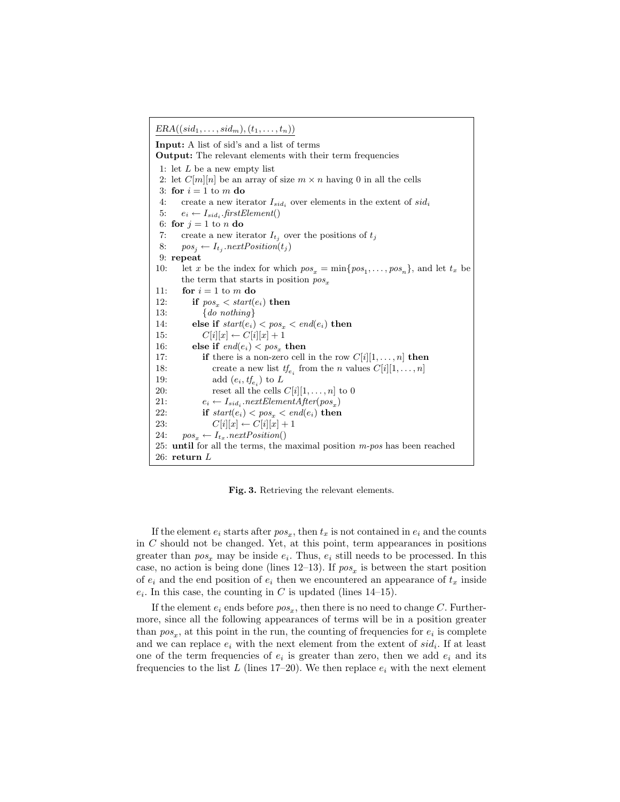$ERA((sid_1, \ldots, sid_m), (t_1, \ldots, t_n))$ Input: A list of sid's and a list of terms Output: The relevant elements with their term frequencies 1: let L be a new empty list 2: let  $C[m][n]$  be an array of size  $m \times n$  having 0 in all the cells 3: for  $i = 1$  to m do 4: create a new iterator  $I_{sid_i}$  over elements in the extent of  $sid_i$ 5:  $e_i \leftarrow I_{sid_i}.firstElement()$ 6: for  $j = 1$  to n do 7: create a new iterator  $I_{t_j}$  over the positions of  $t_j$ <br>8:  $pos_s \leftarrow I_{t_i}.nextPosition(t_i)$ 8:  $pos_j \leftarrow I_{t_j}.nextPosition(t_j)$ 9: repeat 10: let x be the index for which  $pos_x = \min\{pos_1, \ldots, pos_n\}$ , and let  $t_x$  be the term that starts in position  $pos_x$ 11: for  $i = 1$  to m do 12: **if**  $pos_x < start(e_i)$  then<br>13:  ${do\ nothing}$  $\{do \ nothing\}$ 14: **else if**  $start(e_i) < pos_x < end(e_i)$  then<br>15:  $C[i][x] \leftarrow C[i][x] + 1$  $C[i][x] \leftarrow C[i][x] + 1$ 16: else if  $end(e_i) < pos_x$  then 17: **if** there is a non-zero cell in the row  $C[i][1, \ldots, n]$  then 18: create a new list  $t f_{e_i}$  from the *n* values  $C[i][1, \ldots, n]$ 19: add  $(e_i, t f_{e_i})$  to L 20: reset all the cells  $C[i][1,\ldots,n]$  to 0 21:  $e_i \leftarrow I_{sid_i}.nextElementAfter(pos_x)$ 22: **if**  $start(e_i) < pos_x < end(e_i)$  then<br>
23:  $C[i][x] \leftarrow C[i][x] + 1$  $C[i][x] \leftarrow C[i][x] + 1$ 24:  $pos_x \leftarrow I_{t_x}.nextPosition()$ 25: until for all the terms, the maximal position  $m-pos$  has been reached 26: return L

Fig. 3. Retrieving the relevant elements.

If the element  $e_i$  starts after  $pos_x$ , then  $t_x$  is not contained in  $e_i$  and the counts in C should not be changed. Yet, at this point, term appearances in positions greater than  $pos_x$  may be inside  $e_i$ . Thus,  $e_i$  still needs to be processed. In this case, no action is being done (lines  $12-13$ ). If  $pos_x$  is between the start position of  $e_i$  and the end position of  $e_i$  then we encountered an appearance of  $t_x$  inside  $e_i$ . In this case, the counting in C is updated (lines 14–15).

If the element  $e_i$  ends before  $pos_x$ , then there is no need to change C. Furthermore, since all the following appearances of terms will be in a position greater than  $pos_x$ , at this point in the run, the counting of frequencies for  $e_i$  is complete and we can replace  $e_i$  with the next element from the extent of  $sid_i$ . If at least one of the term frequencies of  $e_i$  is greater than zero, then we add  $e_i$  and its frequencies to the list L (lines 17–20). We then replace  $e_i$  with the next element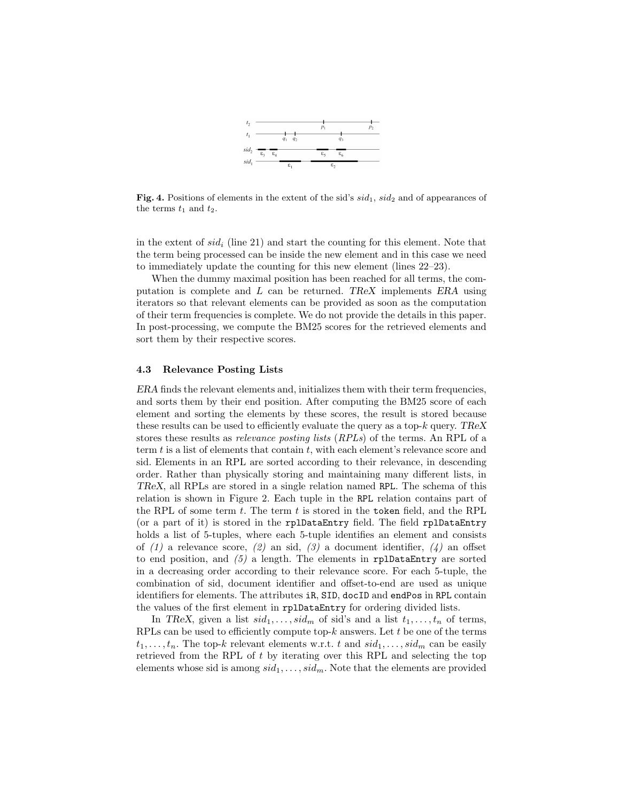

Fig. 4. Positions of elements in the extent of the sid's  $sid_1$ ,  $sid_2$  and of appearances of the terms  $t_1$  and  $t_2$ .

in the extent of  $sid_i$  (line 21) and start the counting for this element. Note that the term being processed can be inside the new element and in this case we need to immediately update the counting for this new element (lines 22–23).

When the dummy maximal position has been reached for all terms, the computation is complete and  $L$  can be returned. TReX implements  $ERA$  using iterators so that relevant elements can be provided as soon as the computation of their term frequencies is complete. We do not provide the details in this paper. In post-processing, we compute the BM25 scores for the retrieved elements and sort them by their respective scores.

#### 4.3 Relevance Posting Lists

ERA finds the relevant elements and, initializes them with their term frequencies, and sorts them by their end position. After computing the BM25 score of each element and sorting the elements by these scores, the result is stored because these results can be used to efficiently evaluate the query as a top- $k$  query. TReX stores these results as *relevance posting lists* (*RPLs*) of the terms. An RPL of a term  $t$  is a list of elements that contain  $t$ , with each element's relevance score and sid. Elements in an RPL are sorted according to their relevance, in descending order. Rather than physically storing and maintaining many different lists, in TReX, all RPLs are stored in a single relation named RPL. The schema of this relation is shown in Figure 2. Each tuple in the RPL relation contains part of the RPL of some term  $t$ . The term  $t$  is stored in the token field, and the RPL (or a part of it) is stored in the rplDataEntry field. The field rplDataEntry holds a list of 5-tuples, where each 5-tuple identifies an element and consists of (1) a relevance score, (2) an sid, (3) a document identifier, (4) an offset to end position, and  $(5)$  a length. The elements in rplDataEntry are sorted in a decreasing order according to their relevance score. For each 5-tuple, the combination of sid, document identifier and offset-to-end are used as unique identifiers for elements. The attributes iR, SID, docID and endPos in RPL contain the values of the first element in rplDataEntry for ordering divided lists.

In TReX, given a list  $sid_1, \ldots, sid_m$  of sid's and a list  $t_1, \ldots, t_n$  of terms, RPLs can be used to efficiently compute top- $k$  answers. Let  $t$  be one of the terms  $t_1, \ldots, t_n$ . The top-k relevant elements w.r.t. t and  $sid_1, \ldots, sid_m$  can be easily retrieved from the RPL of t by iterating over this RPL and selecting the top elements whose sid is among  $sid_1, \ldots, sid_m$ . Note that the elements are provided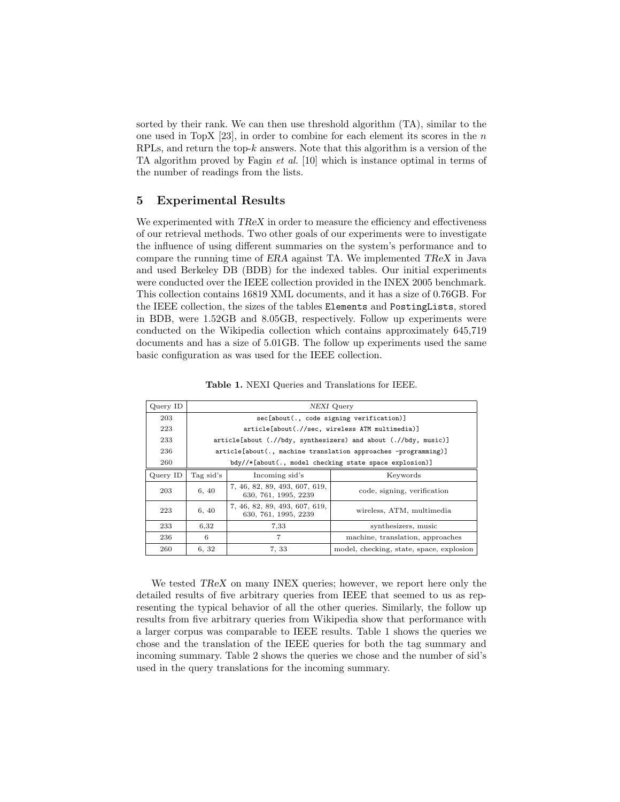sorted by their rank. We can then use threshold algorithm (TA), similar to the one used in TopX  $[23]$ , in order to combine for each element its scores in the n RPLs, and return the top-k answers. Note that this algorithm is a version of the TA algorithm proved by Fagin et al. [10] which is instance optimal in terms of the number of readings from the lists.

# 5 Experimental Results

We experimented with TReX in order to measure the efficiency and effectiveness of our retrieval methods. Two other goals of our experiments were to investigate the influence of using different summaries on the system's performance and to compare the running time of ERA against TA. We implemented TReX in Java and used Berkeley DB (BDB) for the indexed tables. Our initial experiments were conducted over the IEEE collection provided in the INEX 2005 benchmark. This collection contains 16819 XML documents, and it has a size of 0.76GB. For the IEEE collection, the sizes of the tables Elements and PostingLists, stored in BDB, were 1.52GB and 8.05GB, respectively. Follow up experiments were conducted on the Wikipedia collection which contains approximately 645,719 documents and has a size of 5.01GB. The follow up experiments used the same basic configuration as was used for the IEEE collection.

| Query ID | NEXI Query                                                      |                                                       |                                          |  |
|----------|-----------------------------------------------------------------|-------------------------------------------------------|------------------------------------------|--|
| 203      | sec[about(., code signing verification)]                        |                                                       |                                          |  |
| 223      | article[about(.//sec, wireless ATM multimedia)]                 |                                                       |                                          |  |
| 233      | article[about (.//bdy, synthesizers) and about (.//bdy, music)] |                                                       |                                          |  |
| 236      | article[about(., machine translation approaches -programming)]  |                                                       |                                          |  |
| 260      | bdy//*[about(., model checking state space explosion)]          |                                                       |                                          |  |
| Query ID | Tag sid's                                                       | Incoming sid's                                        | Keywords                                 |  |
| 203      | 6, 40                                                           | 7, 46, 82, 89, 493, 607, 619,<br>630, 761, 1995, 2239 | code, signing, verification              |  |
| 223      | 6, 40                                                           | 7, 46, 82, 89, 493, 607, 619,<br>630, 761, 1995, 2239 | wireless, ATM, multimedia                |  |
| 233      | 6,32                                                            | 7.33                                                  | synthesizers, music                      |  |
| 236      | 6                                                               | 7                                                     | machine, translation, approaches         |  |
| 260      | 6, 32                                                           | 7, 33                                                 | model, checking, state, space, explosion |  |

Table 1. NEXI Queries and Translations for IEEE.

We tested TReX on many INEX queries; however, we report here only the detailed results of five arbitrary queries from IEEE that seemed to us as representing the typical behavior of all the other queries. Similarly, the follow up results from five arbitrary queries from Wikipedia show that performance with a larger corpus was comparable to IEEE results. Table 1 shows the queries we chose and the translation of the IEEE queries for both the tag summary and incoming summary. Table 2 shows the queries we chose and the number of sid's used in the query translations for the incoming summary.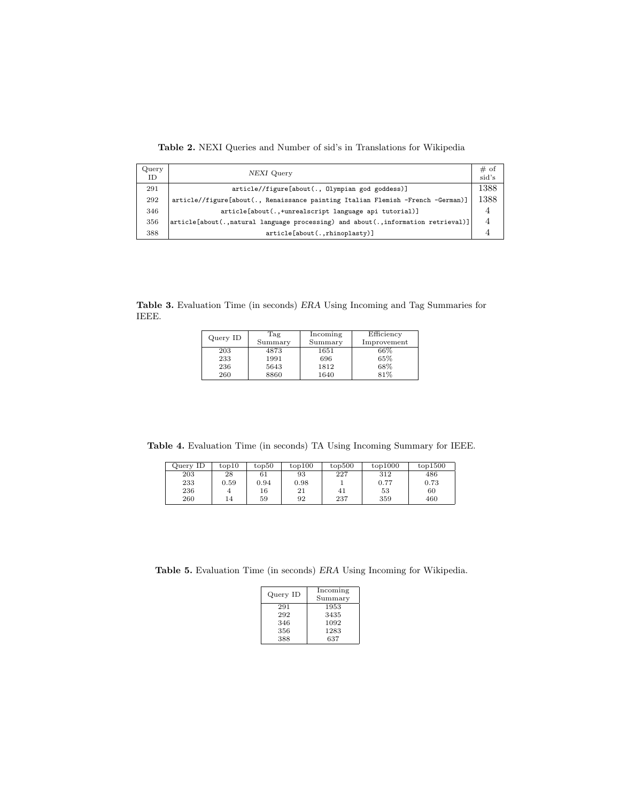Table 2. NEXI Queries and Number of sid's in Translations for Wikipedia

| Query<br>ID. | NEXI Query                                                                       | # of<br>sid's  |
|--------------|----------------------------------------------------------------------------------|----------------|
| 291          | article//figure[about(., Olympian god goddess)]                                  | 1388           |
| 292          | article//figure[about(., Renaissance painting Italian Flemish -French -German)]  | 1388           |
| 346          | article[about(.,+unrealscript language api tutorial)]                            | 4              |
| 356          | article[about(.,natural language processing) and about(.,information retrieval)] | $\overline{4}$ |
| 388          | article[about(.,rhinoplasty)]                                                    |                |

Table 3. Evaluation Time (in seconds) ERA Using Incoming and Tag Summaries for IEEE.

| Query ID | Tag     | Incoming | Efficiency  |
|----------|---------|----------|-------------|
|          | Summary | Summary  | Improvement |
| 203      | 4873    | 1651     | 66%         |
| 233      | 1991    | 696      | 65%         |
| 236      | 5643    | 1812     | 68%         |
| 260      | 8860    | 1640     | 81%         |

Table 4. Evaluation Time (in seconds) TA Using Incoming Summary for IEEE.

| Query ID | top10 | top50 | $\text{top}100$ | top500 | top1000 | top1500 |
|----------|-------|-------|-----------------|--------|---------|---------|
| 203      | 28    | 61    | 93              | 227    | 312     | 486     |
| 233      | 0.59  | 0.94  | 0.98            |        | 0.77    | 0.73    |
| 236      |       | 16    | 21              | 41     | 53      | 60      |
| 260      | 14    | 59    | 92              | 237    | 359     | 460     |

Table 5. Evaluation Time (in seconds) ERA Using Incoming for Wikipedia.

| Query ID | Incoming<br>Summary |
|----------|---------------------|
| 291      | 1953                |
| 292      | 3435                |
| 346      | 1092                |
| 356      | 1283                |
| 388      | 637                 |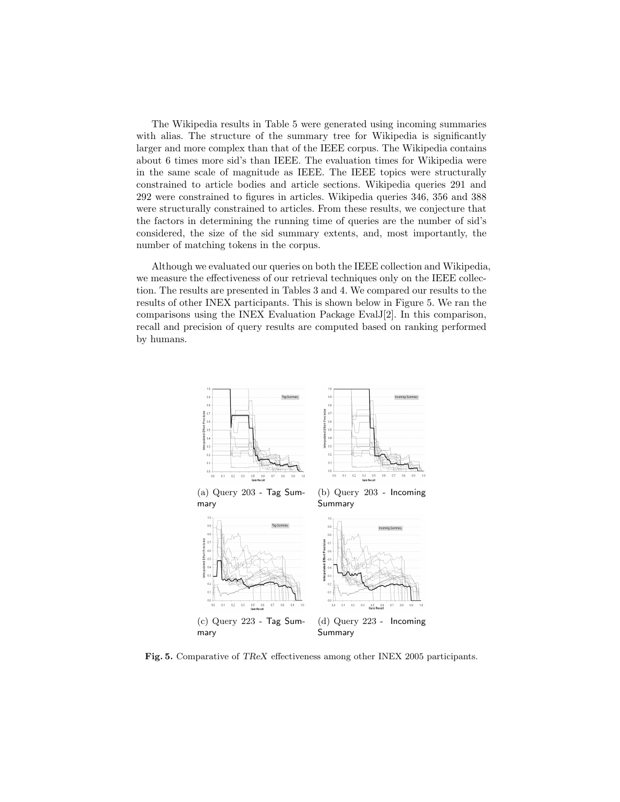The Wikipedia results in Table 5 were generated using incoming summaries with alias. The structure of the summary tree for Wikipedia is significantly larger and more complex than that of the IEEE corpus. The Wikipedia contains about 6 times more sid's than IEEE. The evaluation times for Wikipedia were in the same scale of magnitude as IEEE. The IEEE topics were structurally constrained to article bodies and article sections. Wikipedia queries 291 and 292 were constrained to figures in articles. Wikipedia queries 346, 356 and 388 were structurally constrained to articles. From these results, we conjecture that the factors in determining the running time of queries are the number of sid's considered, the size of the sid summary extents, and, most importantly, the number of matching tokens in the corpus.

Although we evaluated our queries on both the IEEE collection and Wikipedia, we measure the effectiveness of our retrieval techniques only on the IEEE collection. The results are presented in Tables 3 and 4. We compared our results to the results of other INEX participants. This is shown below in Figure 5. We ran the comparisons using the INEX Evaluation Package EvalJ[2]. In this comparison, recall and precision of query results are computed based on ranking performed by humans.



Fig. 5. Comparative of TReX effectiveness among other INEX 2005 participants.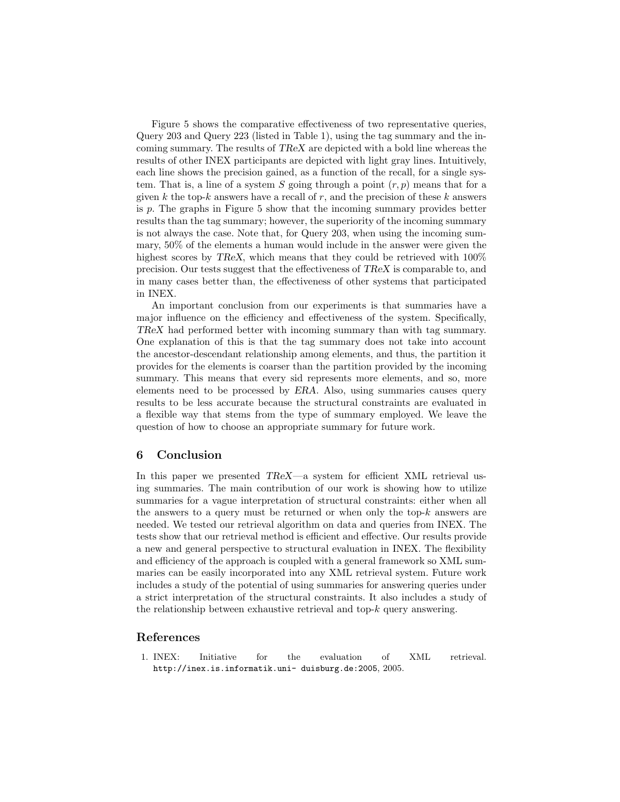Figure 5 shows the comparative effectiveness of two representative queries, Query 203 and Query 223 (listed in Table 1), using the tag summary and the incoming summary. The results of TReX are depicted with a bold line whereas the results of other INEX participants are depicted with light gray lines. Intuitively, each line shows the precision gained, as a function of the recall, for a single system. That is, a line of a system  $S$  going through a point  $(r, p)$  means that for a given k the top-k answers have a recall of r, and the precision of these k answers is p. The graphs in Figure 5 show that the incoming summary provides better results than the tag summary; however, the superiority of the incoming summary is not always the case. Note that, for Query 203, when using the incoming summary, 50% of the elements a human would include in the answer were given the highest scores by TReX, which means that they could be retrieved with  $100\%$ precision. Our tests suggest that the effectiveness of TReX is comparable to, and in many cases better than, the effectiveness of other systems that participated in INEX.

An important conclusion from our experiments is that summaries have a major influence on the efficiency and effectiveness of the system. Specifically, TReX had performed better with incoming summary than with tag summary. One explanation of this is that the tag summary does not take into account the ancestor-descendant relationship among elements, and thus, the partition it provides for the elements is coarser than the partition provided by the incoming summary. This means that every sid represents more elements, and so, more elements need to be processed by ERA. Also, using summaries causes query results to be less accurate because the structural constraints are evaluated in a flexible way that stems from the type of summary employed. We leave the question of how to choose an appropriate summary for future work.

## 6 Conclusion

In this paper we presented  $TReX$ —a system for efficient XML retrieval using summaries. The main contribution of our work is showing how to utilize summaries for a vague interpretation of structural constraints: either when all the answers to a query must be returned or when only the top- $k$  answers are needed. We tested our retrieval algorithm on data and queries from INEX. The tests show that our retrieval method is efficient and effective. Our results provide a new and general perspective to structural evaluation in INEX. The flexibility and efficiency of the approach is coupled with a general framework so XML summaries can be easily incorporated into any XML retrieval system. Future work includes a study of the potential of using summaries for answering queries under a strict interpretation of the structural constraints. It also includes a study of the relationship between exhaustive retrieval and top-k query answering.

## References

1. INEX: Initiative for the evaluation of XML retrieval. http://inex.is.informatik.uni- duisburg.de:2005, 2005.